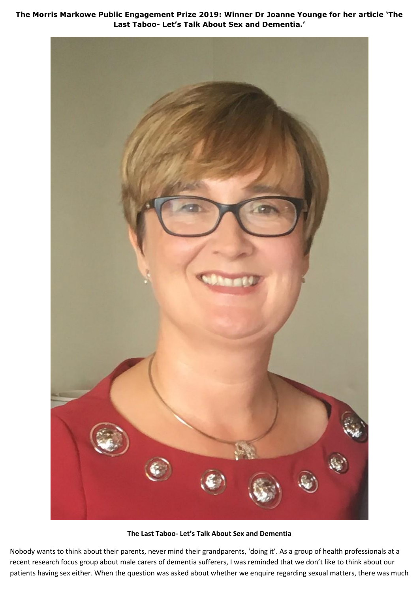**The Morris Markowe Public Engagement Prize 2019: Winner Dr Joanne Younge for her article 'The Last Taboo- Let's Talk About Sex and Dementia.'**



**The Last Taboo- Let's Talk About Sex and Dementia**

Nobody wants to think about their parents, never mind their grandparents, 'doing it'. As a group of health professionals at a recent research focus group about male carers of dementia sufferers, I was reminded that we don't like to think about our patients having sex either. When the question was asked about whether we enquire regarding sexual matters, there was much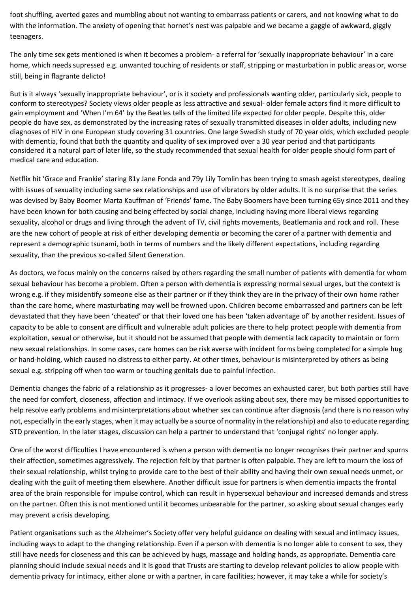foot shuffling, averted gazes and mumbling about not wanting to embarrass patients or carers, and not knowing what to do with the information. The anxiety of opening that hornet's nest was palpable and we became a gaggle of awkward, giggly teenagers.

The only time sex gets mentioned is when it becomes a problem- a referral for 'sexually inappropriate behaviour' in a care home, which needs supressed e.g. unwanted touching of residents or staff, stripping or masturbation in public areas or, worse still, being in flagrante delicto!

But is it always 'sexually inappropriate behaviour', or is it society and professionals wanting older, particularly sick, people to conform to stereotypes? Society views older people as less attractive and sexual- older female actors find it more difficult to gain employment and 'When I'm 64' by the Beatles tells of the limited life expected for older people. Despite this, older people do have sex, as demonstrated by the increasing rates of sexually transmitted diseases in older adults, including new diagnoses of HIV in one European study covering 31 countries. One large Swedish study of 70 year olds, which excluded people with dementia, found that both the quantity and quality of sex improved over a 30 year period and that participants considered it a natural part of later life, so the study recommended that sexual health for older people should form part of medical care and education.

Netflix hit 'Grace and Frankie' staring 81y Jane Fonda and 79y Lily Tomlin has been trying to smash ageist stereotypes, dealing with issues of sexuality including same sex relationships and use of vibrators by older adults. It is no surprise that the series was devised by Baby Boomer Marta Kauffman of 'Friends' fame. The Baby Boomers have been turning 65y since 2011 and they have been known for both causing and being effected by social change, including having more liberal views regarding sexuality, alcohol or drugs and living through the advent of TV, civil rights movements, Beatlemania and rock and roll. These are the new cohort of people at risk of either developing dementia or becoming the carer of a partner with dementia and represent a demographic tsunami, both in terms of numbers and the likely different expectations, including regarding sexuality, than the previous so-called Silent Generation.

As doctors, we focus mainly on the concerns raised by others regarding the small number of patients with dementia for whom sexual behaviour has become a problem. Often a person with dementia is expressing normal sexual urges, but the context is wrong e.g. if they misidentify someone else as their partner or if they think they are in the privacy of their own home rather than the care home, where masturbating may well be frowned upon. Children become embarrassed and partners can be left devastated that they have been 'cheated' or that their loved one has been 'taken advantage of' by another resident. Issues of capacity to be able to consent are difficult and vulnerable adult policies are there to help protect people with dementia from exploitation, sexual or otherwise, but it should not be assumed that people with dementia lack capacity to maintain or form new sexual relationships. In some cases, care homes can be risk averse with incident forms being completed for a simple hug or hand-holding, which caused no distress to either party. At other times, behaviour is misinterpreted by others as being sexual e.g. stripping off when too warm or touching genitals due to painful infection.

Dementia changes the fabric of a relationship as it progresses- a lover becomes an exhausted carer, but both parties still have the need for comfort, closeness, affection and intimacy. If we overlook asking about sex, there may be missed opportunities to help resolve early problems and misinterpretations about whether sex can continue after diagnosis (and there is no reason why not, especially in the early stages, when it may actually be a source of normality in the relationship) and also to educate regarding STD prevention. In the later stages, discussion can help a partner to understand that 'conjugal rights' no longer apply.

One of the worst difficulties I have encountered is when a person with dementia no longer recognises their partner and spurns their affection, sometimes aggressively. The rejection felt by that partner is often palpable. They are left to mourn the loss of their sexual relationship, whilst trying to provide care to the best of their ability and having their own sexual needs unmet, or dealing with the guilt of meeting them elsewhere. Another difficult issue for partners is when dementia impacts the frontal area of the brain responsible for impulse control, which can result in hypersexual behaviour and increased demands and stress on the partner. Often this is not mentioned until it becomes unbearable for the partner, so asking about sexual changes early may prevent a crisis developing.

Patient organisations such as the Alzheimer's Society offer very helpful guidance on dealing with sexual and intimacy issues, including ways to adapt to the changing relationship. Even if a person with dementia is no longer able to consent to sex, they still have needs for closeness and this can be achieved by hugs, massage and holding hands, as appropriate. Dementia care planning should include sexual needs and it is good that Trusts are starting to develop relevant policies to allow people with dementia privacy for intimacy, either alone or with a partner, in care facilities; however, it may take a while for society's